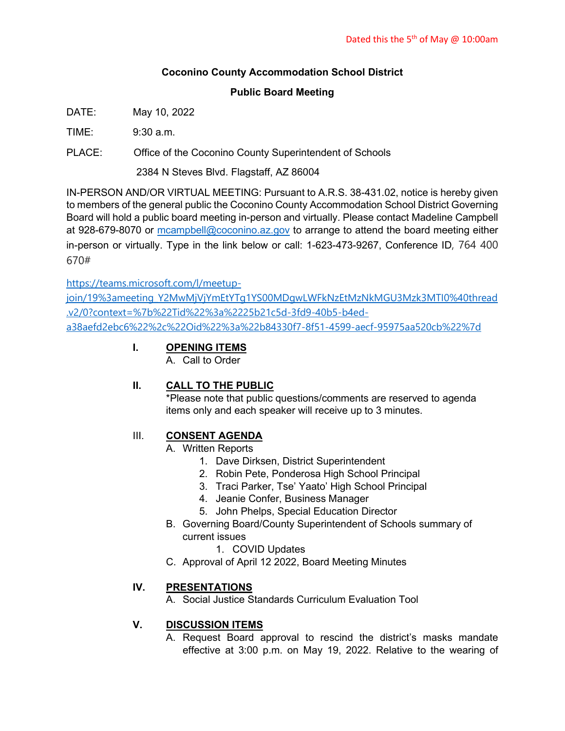# **Coconino County Accommodation School District**

### **Public Board Meeting**

DATE: May 10, 2022

 $TIME: 9:30 a m$ 

PLACE: Office of the Coconino County Superintendent of Schools

2384 N Steves Blvd. Flagstaff, AZ 86004

IN-PERSON AND/OR VIRTUAL MEETING: Pursuant to A.R.S. 38-431.02, notice is hereby given to members of the general public the Coconino County Accommodation School District Governing Board will hold a public board meeting in-person and virtually. Please contact Madeline Campbell at 928-679-8070 or [mcampbell@coconino.az.gov](mailto:mcampbell@coconino.az.gov) to arrange to attend the board meeting either in-person or virtually. Type in the link below or call: 1-623-473-9267, Conference ID, 764 400 670#

[https://teams.microsoft.com/l/meetup-](https://teams.microsoft.com/l/meetup-join/19%3ameeting_Y2MwMjVjYmEtYTg1YS00MDgwLWFkNzEtMzNkMGU3Mzk3MTI0%40thread.v2/0?context=%7b%22Tid%22%3a%2225b21c5d-3fd9-40b5-b4ed-a38aefd2ebc6%22%2c%22Oid%22%3a%22b84330f7-8f51-4599-aecf-95975aa520cb%22%7d)

[join/19%3ameeting\\_Y2MwMjVjYmEtYTg1YS00MDgwLWFkNzEtMzNkMGU3Mzk3MTI0%40thread](https://teams.microsoft.com/l/meetup-join/19%3ameeting_Y2MwMjVjYmEtYTg1YS00MDgwLWFkNzEtMzNkMGU3Mzk3MTI0%40thread.v2/0?context=%7b%22Tid%22%3a%2225b21c5d-3fd9-40b5-b4ed-a38aefd2ebc6%22%2c%22Oid%22%3a%22b84330f7-8f51-4599-aecf-95975aa520cb%22%7d) [.v2/0?context=%7b%22Tid%22%3a%2225b21c5d-3fd9-40b5-b4ed](https://teams.microsoft.com/l/meetup-join/19%3ameeting_Y2MwMjVjYmEtYTg1YS00MDgwLWFkNzEtMzNkMGU3Mzk3MTI0%40thread.v2/0?context=%7b%22Tid%22%3a%2225b21c5d-3fd9-40b5-b4ed-a38aefd2ebc6%22%2c%22Oid%22%3a%22b84330f7-8f51-4599-aecf-95975aa520cb%22%7d)[a38aefd2ebc6%22%2c%22Oid%22%3a%22b84330f7-8f51-4599-aecf-95975aa520cb%22%7d](https://teams.microsoft.com/l/meetup-join/19%3ameeting_Y2MwMjVjYmEtYTg1YS00MDgwLWFkNzEtMzNkMGU3Mzk3MTI0%40thread.v2/0?context=%7b%22Tid%22%3a%2225b21c5d-3fd9-40b5-b4ed-a38aefd2ebc6%22%2c%22Oid%22%3a%22b84330f7-8f51-4599-aecf-95975aa520cb%22%7d)

# **I. OPENING ITEMS**

A. Call to Order

# **II. CALL TO THE PUBLIC**

\*Please note that public questions/comments are reserved to agenda items only and each speaker will receive up to 3 minutes.

### III. **CONSENT AGENDA**

- A. Written Reports
	- 1. Dave Dirksen, District Superintendent
	- 2. Robin Pete, Ponderosa High School Principal
	- 3. Traci Parker, Tse' Yaato' High School Principal
	- 4. Jeanie Confer, Business Manager
	- 5. John Phelps, Special Education Director
- B. Governing Board/County Superintendent of Schools summary of current issues
	- 1. COVID Updates
- C. Approval of April 12 2022, Board Meeting Minutes

# **IV. PRESENTATIONS**

A. Social Justice Standards Curriculum Evaluation Tool

### **V. DISCUSSION ITEMS**

A. Request Board approval to rescind the district's masks mandate effective at 3:00 p.m. on May 19, 2022. Relative to the wearing of